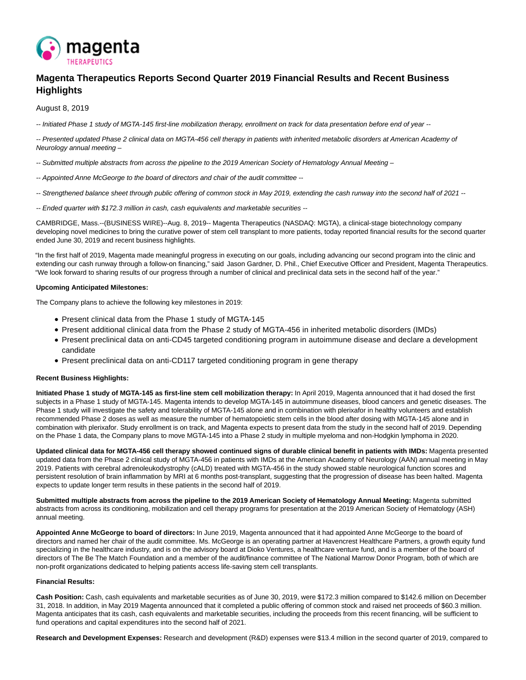

# **Magenta Therapeutics Reports Second Quarter 2019 Financial Results and Recent Business Highlights**

August 8, 2019

-- Initiated Phase 1 study of MGTA-145 first-line mobilization therapy, enrollment on track for data presentation before end of year --

-- Presented updated Phase 2 clinical data on MGTA-456 cell therapy in patients with inherited metabolic disorders at American Academy of Neurology annual meeting –

-- Submitted multiple abstracts from across the pipeline to the 2019 American Society of Hematology Annual Meeting –

- -- Appointed Anne McGeorge to the board of directors and chair of the audit committee --
- -- Strengthened balance sheet through public offering of common stock in May 2019, extending the cash runway into the second half of 2021 --
- -- Ended quarter with \$172.3 million in cash, cash equivalents and marketable securities --

CAMBRIDGE, Mass.--(BUSINESS WIRE)--Aug. 8, 2019-- Magenta Therapeutics (NASDAQ: MGTA), a clinical-stage biotechnology company developing novel medicines to bring the curative power of stem cell transplant to more patients, today reported financial results for the second quarter ended June 30, 2019 and recent business highlights.

"In the first half of 2019, Magenta made meaningful progress in executing on our goals, including advancing our second program into the clinic and extending our cash runway through a follow-on financing," said Jason Gardner, D. Phil., Chief Executive Officer and President, Magenta Therapeutics. "We look forward to sharing results of our progress through a number of clinical and preclinical data sets in the second half of the year."

# **Upcoming Anticipated Milestones:**

The Company plans to achieve the following key milestones in 2019:

- Present clinical data from the Phase 1 study of MGTA-145
- Present additional clinical data from the Phase 2 study of MGTA-456 in inherited metabolic disorders (IMDs)
- Present preclinical data on anti-CD45 targeted conditioning program in autoimmune disease and declare a development candidate
- Present preclinical data on anti-CD117 targeted conditioning program in gene therapy

# **Recent Business Highlights:**

**Initiated Phase 1 study of MGTA-145 as first-line stem cell mobilization therapy:** In April 2019, Magenta announced that it had dosed the first subjects in a Phase 1 study of MGTA-145. Magenta intends to develop MGTA-145 in autoimmune diseases, blood cancers and genetic diseases. The Phase 1 study will investigate the safety and tolerability of MGTA-145 alone and in combination with plerixafor in healthy volunteers and establish recommended Phase 2 doses as well as measure the number of hematopoietic stem cells in the blood after dosing with MGTA-145 alone and in combination with plerixafor. Study enrollment is on track, and Magenta expects to present data from the study in the second half of 2019. Depending on the Phase 1 data, the Company plans to move MGTA-145 into a Phase 2 study in multiple myeloma and non-Hodgkin lymphoma in 2020.

**Updated clinical data for MGTA-456 cell therapy showed continued signs of durable clinical benefit in patients with IMDs:** Magenta presented updated data from the Phase 2 clinical study of MGTA-456 in patients with IMDs at the American Academy of Neurology (AAN) annual meeting in May 2019. Patients with cerebral adrenoleukodystrophy (cALD) treated with MGTA-456 in the study showed stable neurological function scores and persistent resolution of brain inflammation by MRI at 6 months post-transplant, suggesting that the progression of disease has been halted. Magenta expects to update longer term results in these patients in the second half of 2019.

Submitted multiple abstracts from across the pipeline to the 2019 American Society of Hematology Annual Meeting: Magenta submitted abstracts from across its conditioning, mobilization and cell therapy programs for presentation at the 2019 American Society of Hematology (ASH) annual meeting.

**Appointed Anne McGeorge to board of directors:** In June 2019, Magenta announced that it had appointed Anne McGeorge to the board of directors and named her chair of the audit committee. Ms. McGeorge is an operating partner at Havencrest Healthcare Partners, a growth equity fund specializing in the healthcare industry, and is on the advisory board at Dioko Ventures, a healthcare venture fund, and is a member of the board of directors of The Be The Match Foundation and a member of the audit/finance committee of The National Marrow Donor Program, both of which are non-profit organizations dedicated to helping patients access life-saving stem cell transplants.

# **Financial Results:**

**Cash Position:** Cash, cash equivalents and marketable securities as of June 30, 2019, were \$172.3 million compared to \$142.6 million on December 31, 2018. In addition, in May 2019 Magenta announced that it completed a public offering of common stock and raised net proceeds of \$60.3 million. Magenta anticipates that its cash, cash equivalents and marketable securities, including the proceeds from this recent financing, will be sufficient to fund operations and capital expenditures into the second half of 2021.

**Research and Development Expenses:** Research and development (R&D) expenses were \$13.4 million in the second quarter of 2019, compared to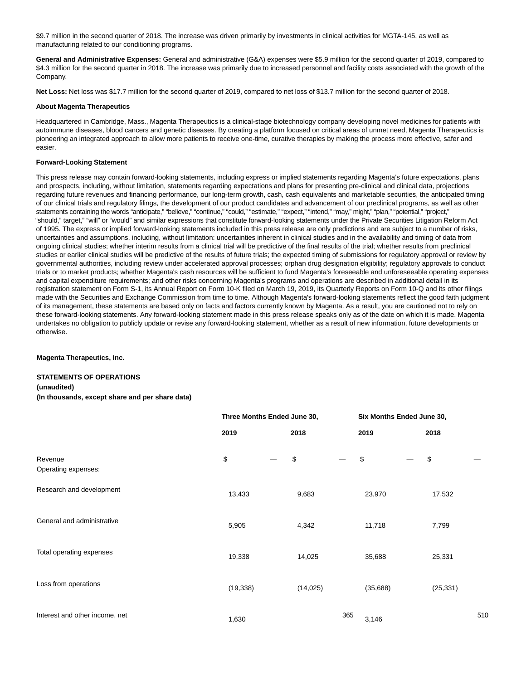\$9.7 million in the second quarter of 2018. The increase was driven primarily by investments in clinical activities for MGTA-145, as well as manufacturing related to our conditioning programs.

**General and Administrative Expenses:** General and administrative (G&A) expenses were \$5.9 million for the second quarter of 2019, compared to \$4.3 million for the second quarter in 2018. The increase was primarily due to increased personnel and facility costs associated with the growth of the Company.

**Net Loss:** Net loss was \$17.7 million for the second quarter of 2019, compared to net loss of \$13.7 million for the second quarter of 2018.

#### **About Magenta Therapeutics**

Headquartered in Cambridge, Mass., Magenta Therapeutics is a clinical-stage biotechnology company developing novel medicines for patients with autoimmune diseases, blood cancers and genetic diseases. By creating a platform focused on critical areas of unmet need, Magenta Therapeutics is pioneering an integrated approach to allow more patients to receive one-time, curative therapies by making the process more effective, safer and easier.

#### **Forward-Looking Statement**

This press release may contain forward-looking statements, including express or implied statements regarding Magenta's future expectations, plans and prospects, including, without limitation, statements regarding expectations and plans for presenting pre-clinical and clinical data, projections regarding future revenues and financing performance, our long-term growth, cash, cash equivalents and marketable securities, the anticipated timing of our clinical trials and regulatory filings, the development of our product candidates and advancement of our preclinical programs, as well as other statements containing the words "anticipate," "believe," "continue," "could," "estimate," "expect," "intend," "may," might," "plan," "potential," "project," "should," target," "will" or "would" and similar expressions that constitute forward-looking statements under the Private Securities Litigation Reform Act of 1995. The express or implied forward-looking statements included in this press release are only predictions and are subject to a number of risks, uncertainties and assumptions, including, without limitation: uncertainties inherent in clinical studies and in the availability and timing of data from ongoing clinical studies; whether interim results from a clinical trial will be predictive of the final results of the trial; whether results from preclinical studies or earlier clinical studies will be predictive of the results of future trials; the expected timing of submissions for regulatory approval or review by governmental authorities, including review under accelerated approval processes; orphan drug designation eligibility; regulatory approvals to conduct trials or to market products; whether Magenta's cash resources will be sufficient to fund Magenta's foreseeable and unforeseeable operating expenses and capital expenditure requirements; and other risks concerning Magenta's programs and operations are described in additional detail in its registration statement on Form S-1, its Annual Report on Form 10-K filed on March 19, 2019, its Quarterly Reports on Form 10-Q and its other filings made with the Securities and Exchange Commission from time to time. Although Magenta's forward-looking statements reflect the good faith judgment of its management, these statements are based only on facts and factors currently known by Magenta. As a result, you are cautioned not to rely on these forward-looking statements. Any forward-looking statement made in this press release speaks only as of the date on which it is made. Magenta undertakes no obligation to publicly update or revise any forward-looking statement, whether as a result of new information, future developments or otherwise.

#### **Magenta Therapeutics, Inc.**

# **STATEMENTS OF OPERATIONS**

#### **(unaudited)**

**(In thousands, except share and per share data)** 

|                                | Three Months Ended June 30, |  |           |     | Six Months Ended June 30, |  |           |     |
|--------------------------------|-----------------------------|--|-----------|-----|---------------------------|--|-----------|-----|
|                                | 2019                        |  | 2018      |     | 2019                      |  | 2018      |     |
| Revenue<br>Operating expenses: | \$                          |  | \$        |     | \$                        |  | \$        |     |
| Research and development       | 13,433                      |  | 9,683     |     | 23,970                    |  | 17,532    |     |
| General and administrative     | 5,905                       |  | 4,342     |     | 11,718                    |  | 7,799     |     |
| Total operating expenses       | 19,338                      |  | 14,025    |     | 35,688                    |  | 25,331    |     |
| Loss from operations           | (19, 338)                   |  | (14, 025) |     | (35,688)                  |  | (25, 331) |     |
| Interest and other income, net | 1,630                       |  |           | 365 | 3,146                     |  |           | 510 |